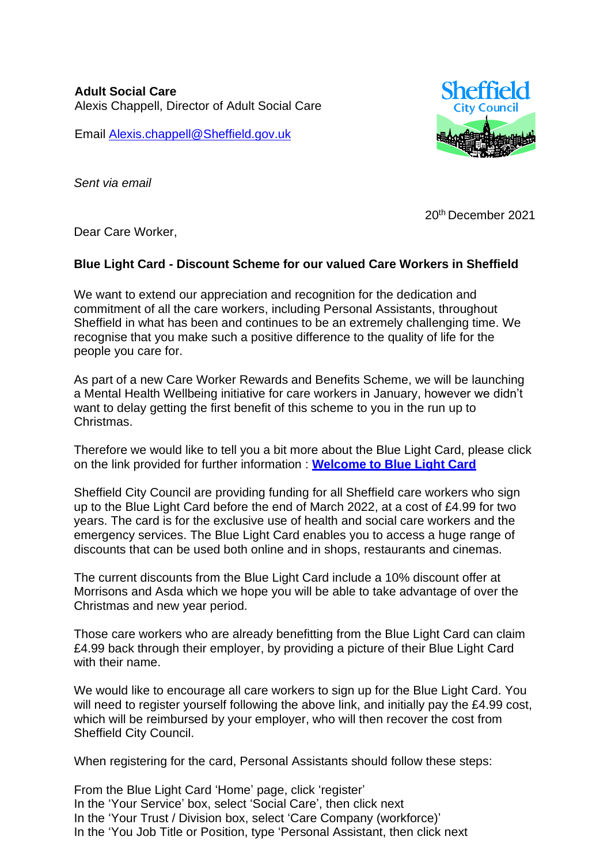**Adult Social Care** Alexis Chappell, Director of Adult Social Care

Email [Alexis.chappell@Sheffield.gov.uk](mailto:Alexis.chappell@Sheffield.gov.uk)



*Sent via email*

20th December 2021

Dear Care Worker,

## **Blue Light Card - Discount Scheme for our valued Care Workers in Sheffield**

We want to extend our appreciation and recognition for the dedication and commitment of all the care workers, including Personal Assistants, throughout Sheffield in what has been and continues to be an extremely challenging time. We recognise that you make such a positive difference to the quality of life for the people you care for.

As part of a new Care Worker Rewards and Benefits Scheme, we will be launching a Mental Health Wellbeing initiative for care workers in January, however we didn't want to delay getting the first benefit of this scheme to you in the run up to Christmas.

Therefore we would like to tell you a bit more about the Blue Light Card, please click on the link provided for further information : **[Welcome to Blue Light Card](https://eur03.safelinks.protection.outlook.com/?url=https%3A%2F%2Fwww.bluelightcard.co.uk%2F&data=04%7C01%7CPaul.Higginbottom%40sheffield.gov.uk%7C5b050a8a82d04e03d03e08d9c077403a%7Ca1ba59b9720448d8a3607770245ad4a9%7C0%7C0%7C637752440673101842%7CUnknown%7CTWFpbGZsb3d8eyJWIjoiMC4wLjAwMDAiLCJQIjoiV2luMzIiLCJBTiI6Ik1haWwiLCJXVCI6Mn0%3D%7C3000&sdata=QRfI7AF4%2BTsZfJqSZPUMxPg6bWmHK9xo72jRrizfxqc%3D&reserved=0)**

Sheffield City Council are providing funding for all Sheffield care workers who sign up to the Blue Light Card before the end of March 2022, at a cost of £4.99 for two years. The card is for the exclusive use of health and social care workers and the emergency services. The Blue Light Card enables you to access a huge range of discounts that can be used both online and in shops, restaurants and cinemas.

The current discounts from the Blue Light Card include a 10% discount offer at Morrisons and Asda which we hope you will be able to take advantage of over the Christmas and new year period.

Those care workers who are already benefitting from the Blue Light Card can claim £4.99 back through their employer, by providing a picture of their Blue Light Card with their name.

We would like to encourage all care workers to sign up for the Blue Light Card. You will need to register yourself following the above link, and initially pay the £4.99 cost, which will be reimbursed by your employer, who will then recover the cost from Sheffield City Council.

When registering for the card, Personal Assistants should follow these steps:

From the Blue Light Card 'Home' page, click 'register' In the 'Your Service' box, select 'Social Care', then click next In the 'Your Trust / Division box, select 'Care Company (workforce)' In the 'You Job Title or Position, type 'Personal Assistant, then click next